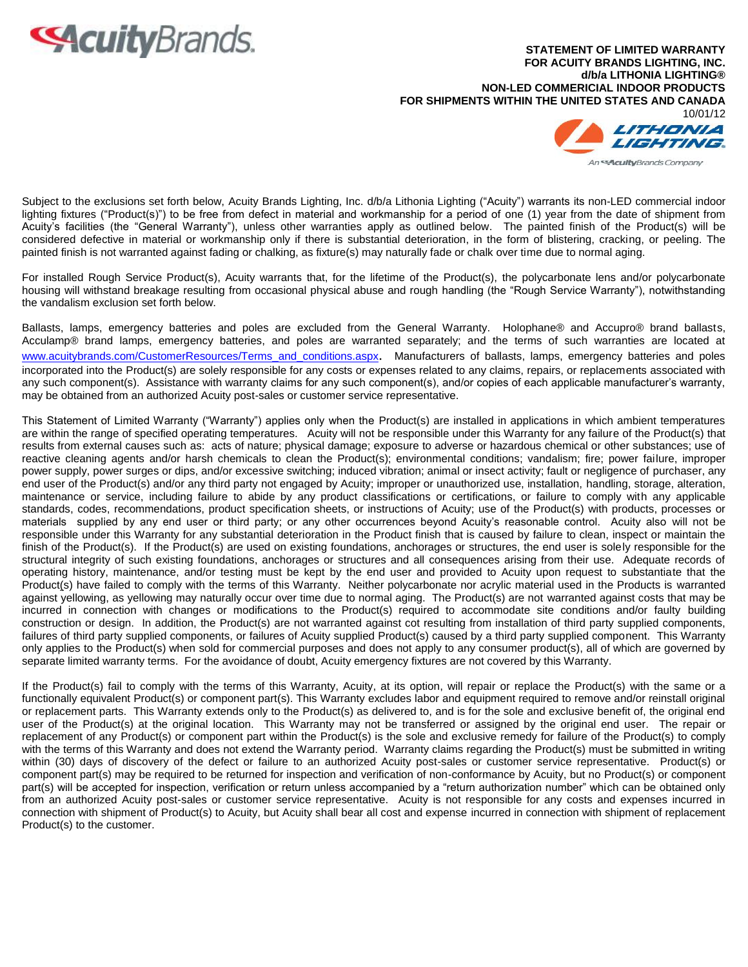

**STATEMENT OF LIMITED WARRANTY FOR ACUITY BRANDS LIGHTING, INC. d/b/a LITHONIA LIGHTING® NON-LED COMMERICIAL INDOOR PRODUCTS FOR SHIPMENTS WITHIN THE UNITED STATES AND CANADA** 10/01/12 LITHONIA An<sup>est</sup>cultyBrands Company

Subject to the exclusions set forth below, Acuity Brands Lighting, Inc. d/b/a Lithonia Lighting ("Acuity") warrants its non-LED commercial indoor lighting fixtures ("Product(s)") to be free from defect in material and workmanship for a period of one (1) year from the date of shipment from Acuity's facilities (the "General Warranty"), unless other warranties apply as outlined below. The painted finish of the Product(s) will be considered defective in material or workmanship only if there is substantial deterioration, in the form of blistering, cracking, or peeling. The painted finish is not warranted against fading or chalking, as fixture(s) may naturally fade or chalk over time due to normal aging.

For installed Rough Service Product(s), Acuity warrants that, for the lifetime of the Product(s), the polycarbonate lens and/or polycarbonate housing will withstand breakage resulting from occasional physical abuse and rough handling (the "Rough Service Warranty"), notwithstanding the vandalism exclusion set forth below.

Ballasts, lamps, emergency batteries and poles are excluded from the General Warranty. Holophane® and Accupro® brand ballasts, Acculamp® brand lamps, emergency batteries, and poles are warranted separately; and the terms of such warranties are located at www.acuitybrands.com/CustomerResources/Terms and conditions.aspx. Manufacturers of ballasts, lamps, emergency batteries and poles incorporated into the Product(s) are solely responsible for any costs or expenses related to any claims, repairs, or replacements associated with any such component(s). Assistance with warranty claims for any such component(s), and/or copies of each applicable manufacturer's warranty, may be obtained from an authorized Acuity post-sales or customer service representative.

This Statement of Limited Warranty ("Warranty") applies only when the Product(s) are installed in applications in which ambient temperatures are within the range of specified operating temperatures. Acuity will not be responsible under this Warranty for any failure of the Product(s) that results from external causes such as: acts of nature; physical damage; exposure to adverse or hazardous chemical or other substances; use of reactive cleaning agents and/or harsh chemicals to clean the Product(s); environmental conditions; vandalism; fire; power failure, improper power supply, power surges or dips, and/or excessive switching; induced vibration; animal or insect activity; fault or negligence of purchaser, any end user of the Product(s) and/or any third party not engaged by Acuity; improper or unauthorized use, installation, handling, storage, alteration, maintenance or service, including failure to abide by any product classifications or certifications, or failure to comply with any applicable standards, codes, recommendations, product specification sheets, or instructions of Acuity; use of the Product(s) with products, processes or materials supplied by any end user or third party; or any other occurrences beyond Acuity's reasonable control. Acuity also will not be responsible under this Warranty for any substantial deterioration in the Product finish that is caused by failure to clean, inspect or maintain the finish of the Product(s). If the Product(s) are used on existing foundations, anchorages or structures, the end user is solely responsible for the structural integrity of such existing foundations, anchorages or structures and all consequences arising from their use. Adequate records of operating history, maintenance, and/or testing must be kept by the end user and provided to Acuity upon request to substantiate that the Product(s) have failed to comply with the terms of this Warranty. Neither polycarbonate nor acrylic material used in the Products is warranted against yellowing, as yellowing may naturally occur over time due to normal aging. The Product(s) are not warranted against costs that may be incurred in connection with changes or modifications to the Product(s) required to accommodate site conditions and/or faulty building construction or design. In addition, the Product(s) are not warranted against cot resulting from installation of third party supplied components, failures of third party supplied components, or failures of Acuity supplied Product(s) caused by a third party supplied component. This Warranty only applies to the Product(s) when sold for commercial purposes and does not apply to any consumer product(s), all of which are governed by separate limited warranty terms. For the avoidance of doubt, Acuity emergency fixtures are not covered by this Warranty.

If the Product(s) fail to comply with the terms of this Warranty, Acuity, at its option, will repair or replace the Product(s) with the same or a functionally equivalent Product(s) or component part(s). This Warranty excludes labor and equipment required to remove and/or reinstall original or replacement parts. This Warranty extends only to the Product(s) as delivered to, and is for the sole and exclusive benefit of, the original end user of the Product(s) at the original location. This Warranty may not be transferred or assigned by the original end user. The repair or replacement of any Product(s) or component part within the Product(s) is the sole and exclusive remedy for failure of the Product(s) to comply with the terms of this Warranty and does not extend the Warranty period. Warranty claims regarding the Product(s) must be submitted in writing within (30) days of discovery of the defect or failure to an authorized Acuity post-sales or customer service representative. Product(s) or component part(s) may be required to be returned for inspection and verification of non-conformance by Acuity, but no Product(s) or component part(s) will be accepted for inspection, verification or return unless accompanied by a "return authorization number" which can be obtained only from an authorized Acuity post-sales or customer service representative. Acuity is not responsible for any costs and expenses incurred in connection with shipment of Product(s) to Acuity, but Acuity shall bear all cost and expense incurred in connection with shipment of replacement Product(s) to the customer.